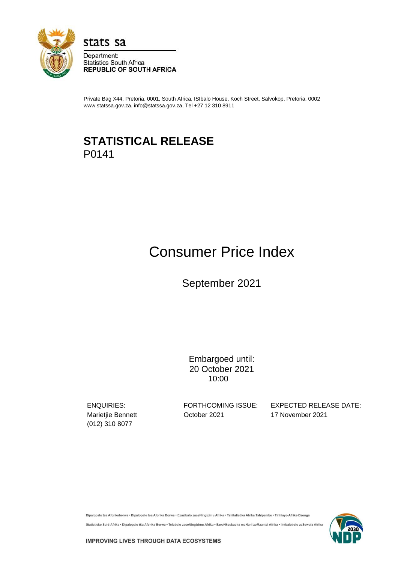

stats sa

Department: **Statistics South Africa REPUBLIC OF SOUTH AFRICA** 

Private Bag X44, Pretoria, 0001, South Africa, ISIbalo House, Koch Street, Salvokop, Pretoria, 0002 www.statssa.gov.za, info@statssa.gov.za, Tel +27 12 310 8911

## **STATISTICAL RELEASE** P0141

# Consumer Price Index

September 2021

Embargoed until: 20 October 2021 10:00

(012) 310 8077

Marietjie Bennett **October 2021** 17 November 2021

ENQUIRIES: FORTHCOMING ISSUE: EXPECTED RELEASE DATE:

Dipalopalo tsa Aforikaborwa • Dipalopalo tsa Aforika Borwa • Ezazibalo zaseNingizimu Afrika • Tshitatistika Afrika Tshipembe • Tinhlayo Afrika-Dzonga

Statistieke Suid-Afrika • Dipalopalo tša Aforika Borwa • Telubalo zaseNingizimu Afrika • EzeeNkcukacha maNani zoMzantsi Afrika • limbalobalo zeSewula Afrika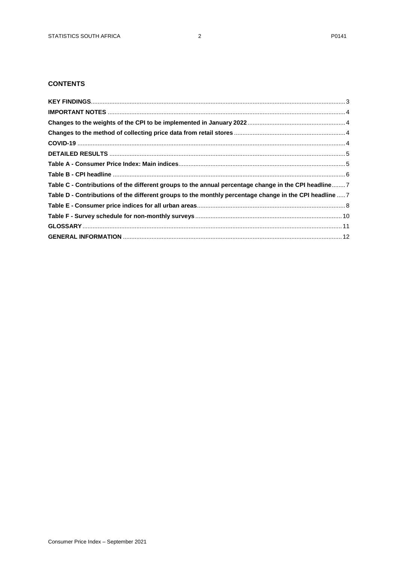## **CONTENTS**

| Table C - Contributions of the different groups to the annual percentage change in the CPI headline 7   |  |
|---------------------------------------------------------------------------------------------------------|--|
| Table D - Contributions of the different groups to the monthly percentage change in the CPI headline  7 |  |
|                                                                                                         |  |
|                                                                                                         |  |
|                                                                                                         |  |
|                                                                                                         |  |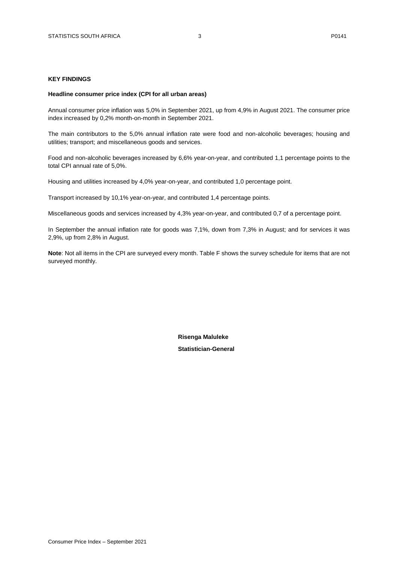### <span id="page-2-0"></span>**KEY FINDINGS**

#### **Headline consumer price index (CPI for all urban areas)**

Annual consumer price inflation was 5,0% in September 2021, up from 4,9% in August 2021. The consumer price index increased by 0,2% month-on-month in September 2021.

The main contributors to the 5,0% annual inflation rate were food and non-alcoholic beverages; housing and utilities; transport; and miscellaneous goods and services.

Food and non-alcoholic beverages increased by 6,6% year-on-year, and contributed 1,1 percentage points to the total CPI annual rate of 5,0%.

Housing and utilities increased by 4,0% year-on-year, and contributed 1,0 percentage point.

Transport increased by 10,1% year-on-year, and contributed 1,4 percentage points.

Miscellaneous goods and services increased by 4,3% year-on-year, and contributed 0,7 of a percentage point.

In September the annual inflation rate for goods was 7,1%, down from 7,3% in August; and for services it was 2,9%, up from 2,8% in August.

**Note**: Not all items in the CPI are surveyed every month. Table F shows the survey schedule for items that are not surveyed monthly.

> **Risenga Maluleke Statistician-General**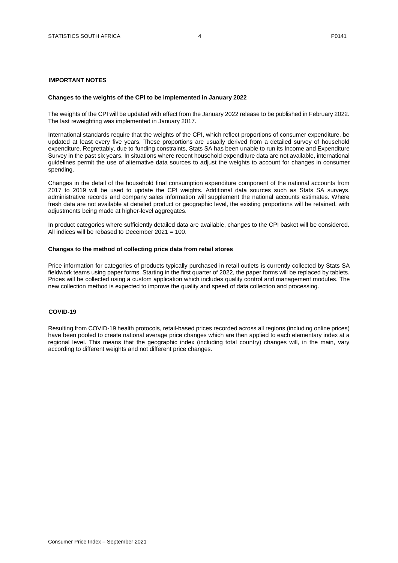## <span id="page-3-0"></span>**IMPORTANT NOTES**

#### <span id="page-3-1"></span>**Changes to the weights of the CPI to be implemented in January 2022**

The weights of the CPI will be updated with effect from the January 2022 release to be published in February 2022. The last reweighting was implemented in January 2017.

International standards require that the weights of the CPI, which reflect proportions of consumer expenditure, be updated at least every five years. These proportions are usually derived from a detailed survey of household expenditure. Regrettably, due to funding constraints, Stats SA has been unable to run its Income and Expenditure Survey in the past six years. In situations where recent household expenditure data are not available, international guidelines permit the use of alternative data sources to adjust the weights to account for changes in consumer spending.

Changes in the detail of the household final consumption expenditure component of the national accounts from 2017 to 2019 will be used to update the CPI weights. Additional data sources such as Stats SA surveys, administrative records and company sales information will supplement the national accounts estimates. Where fresh data are not available at detailed product or geographic level, the existing proportions will be retained, with adjustments being made at higher-level aggregates.

In product categories where sufficiently detailed data are available, changes to the CPI basket will be considered. All indices will be rebased to December 2021 = 100.

#### <span id="page-3-2"></span>**Changes to the method of collecting price data from retail stores**

Price information for categories of products typically purchased in retail outlets is currently collected by Stats SA fieldwork teams using paper forms. Starting in the first quarter of 2022, the paper forms will be replaced by tablets. Prices will be collected using a custom application which includes quality control and management modules. The new collection method is expected to improve the quality and speed of data collection and processing.

### <span id="page-3-3"></span>**COVID-19**

Resulting from COVID-19 health protocols, retail-based prices recorded across all regions (including online prices) have been pooled to create national average price changes which are then applied to each elementary index at a regional level. This means that the geographic index (including total country) changes will, in the main, vary according to different weights and not different price changes.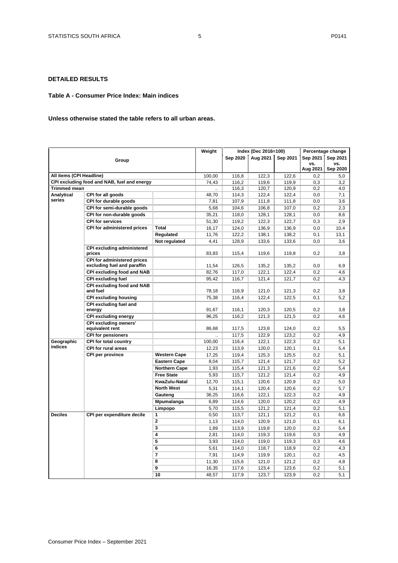## <span id="page-4-0"></span>**DETAILED RESULTS**

#### <span id="page-4-1"></span>**Table A - Consumer Price Index: Main indices**

## **Unless otherwise stated the table refers to all urban areas.**

|                          |                                                            |                      | Weight         |                | Index (Dec 2016=100) |                |                 | Percentage change |
|--------------------------|------------------------------------------------------------|----------------------|----------------|----------------|----------------------|----------------|-----------------|-------------------|
|                          | Group                                                      |                      |                | Sep 2020       | Aug 2021             | Sep 2021       | Sep 2021        | Sep 2021          |
|                          |                                                            |                      |                |                |                      |                | VS.<br>Aug 2021 | vs.<br>Sep 2020   |
| All items (CPI Headline) |                                                            |                      | 100,00         | 116,8          | 122,3                | 122,6          | 0,2             | 5,0               |
|                          | CPI excluding food and NAB, fuel and energy                |                      | 74,43          | 116,2          | 119,6                | 119,9          | 0,3             | 3,2               |
| <b>Trimmed mean</b>      |                                                            |                      |                | 116,3          | 120,7                | 120,9          | 0,2             | 4,0               |
| Analytical               | CPI for all goods                                          |                      | 48,70          | 114,3          | 122,4                | 122,4          | 0,0             | 7,1               |
| series                   | CPI for durable goods                                      |                      | 7,81           | 107,9          | 111,8                | 111,8          | 0,0             | 3,6               |
|                          | CPI for semi-durable goods                                 |                      | 5,68           | 104,6          | 106,8                | 107,0          | 0,2             | 2,3               |
|                          | CPI for non-durable goods                                  |                      | 35,21          | 118,0          | 128,1                | 128,1          | 0,0             | 8,6               |
|                          | <b>CPI for services</b>                                    |                      | 51,30          | 119,2          | 122,3                | 122,7          | 0,3             | 2,9               |
|                          | <b>CPI for administered prices</b>                         | Total                | 16,17          | 124,0          | 136,9                | 136,9          | 0,0             | 10,4              |
|                          |                                                            | Regulated            | 11,76          | 122,2          | 138,1                | 138,2          | 0,1             | 13,1              |
|                          |                                                            | Not regulated        | 4,41           | 128,9          | 133,6                | 133,6          | 0,0             | 3,6               |
|                          | <b>CPI excluding administered</b><br>prices                |                      | 83,83          | 115,4          | 119,6                | 119,8          | 0,2             | 3,8               |
|                          | CPI for administered prices<br>excluding fuel and paraffin |                      | 11.54          | 126,5          | 135.2                | 135.2          | 0.0             | 6,9               |
|                          | <b>CPI excluding food and NAB</b>                          |                      | 82,76          | 117,0          | 122,1                | 122,4          | 0,2             | 4,6               |
|                          | <b>CPI excluding fuel</b>                                  |                      | 95,42          | 116,7          | 121,4                | 121,7          | 0,2             | 4,3               |
|                          | <b>CPI excluding food and NAB</b><br>and fuel              |                      | 78,18          | 116,9          | 121,0                | 121,3          | 0,2             | 3,8               |
|                          | <b>CPI excluding housing</b>                               |                      | 75,38          | 116,4          | 122,4                | 122,5          | 0,1             | 5,2               |
|                          | CPI excluding fuel and<br>energy                           |                      | 91,67          | 116,1          | 120,3                | 120,5          | 0,2             | 3,8               |
|                          | <b>CPI excluding energy</b>                                |                      | 96,25          | 116,2          | 121,3                | 121,5          | 0,2             | 4,6               |
|                          | <b>CPI excluding owners'</b><br>equivalent rent            |                      | 86,68          | 117,5          | 123,8                | 124,0          | 0,2             | 5,5               |
|                          | <b>CPI for pensioners</b>                                  |                      |                | 117,5          | 122,9                | 123,2          | 0,2             | 4,9               |
| Geographic               | <b>CPI for total country</b>                               |                      | 100,00         | 116,4          | 122,1                | 122,3          | 0,2             | 5,1               |
| indices                  | <b>CPI for rural areas</b>                                 |                      | 12,23          | 113,9          | 120,0                | 120,1          | 0,1             | 5,4               |
|                          | CPI per province                                           | <b>Western Cape</b>  | 17,25          | 119,4          | 125,3                | 125,5          | 0,2             | 5,1               |
|                          |                                                            | <b>Eastern Cape</b>  | 8,04           | 115,7          | 121,4                | 121,7          | 0,2             | 5,2               |
|                          |                                                            | <b>Northern Cape</b> | 1,93           | 115,4          | 121,3                | 121,6          | 0,2             | 5,4               |
|                          |                                                            | <b>Free State</b>    | 5,93           | 115,7          | 121,2                | 121,4          | 0,2             | 4,9               |
|                          |                                                            | KwaZulu-Natal        | 12,70          | 115,1          | 120,6                | 120,9          | 0,2             | 5,0               |
|                          |                                                            | <b>North West</b>    | 5,31           | 114,1          | 120,4                | 120,6          | 0,2             | 5,7               |
|                          |                                                            | Gauteng              | 36.25          | 116,6          | 122.1                | 122,3          | 0,2             | 4,9               |
|                          |                                                            | Mpumalanga           | 6,89           | 114,6          | 120,0                | 120,2          | 0,2             | 4,9               |
|                          |                                                            | Limpopo              | 5,70           | 115,5          | 121,2                | 121,4          | 0,2             | 5,1               |
| <b>Deciles</b>           | CPI per expenditure decile                                 | 1                    | 0,50           | 113,7          | 121.1                | 121,2          | 0,1             | 6,6               |
|                          |                                                            | $\mathbf 2$          | 1,13           | 114,0          | 120,9                | 121,0          | 0,1             | 6,1               |
|                          | 3                                                          | 1,89                 | 113,9          | 119,8          | 120,0                | 0,2            | 5,4             |                   |
|                          |                                                            | 4                    | 2,81           | 114,0          | 119,3                | 119,6          | 0,3             | 4,9               |
|                          |                                                            | 5                    | 3,93           | 114,0          | 119,0                | 119,3          | 0,3             | 4,6               |
|                          |                                                            | 6                    | 5,61           | 114,0          | 118,7                | 118,9          | 0,2             | 4,3               |
|                          |                                                            | 7                    | 7,91           | 114,9          | 119,9                | 120,1          | 0,2             | 4,5               |
|                          |                                                            | 8                    | 11,30          | 115,6          | 121,0                | 121,2          | 0,2             | 4,8               |
|                          |                                                            | 9<br>10              | 16,35<br>48,57 | 117,6<br>117,9 | 123,4<br>123,7       | 123,6<br>123,9 | 0,2<br>0,2      | 5,1<br>5,1        |
|                          |                                                            |                      |                |                |                      |                |                 |                   |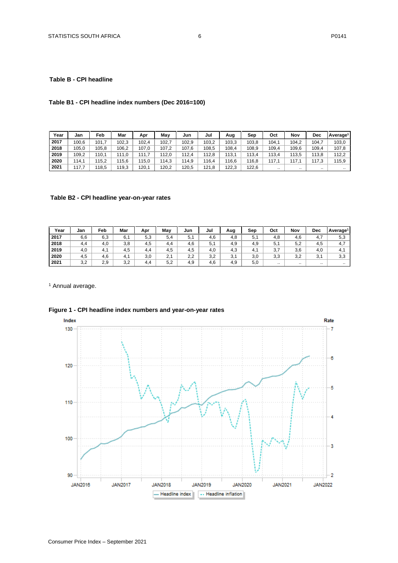## <span id="page-5-0"></span>**Table B - CPI headline**

## **Table B1 - CPI headline index numbers (Dec 2016=100)**

| Year | Jan   | Feb   | Mar   | Apr   | Mav   | Jun   | Jul   | Aug   | Sep   | Oct   | Nov       | Dec       | Average <sup>1</sup> |
|------|-------|-------|-------|-------|-------|-------|-------|-------|-------|-------|-----------|-----------|----------------------|
| 2017 | 100,6 | 101.7 | 102.3 | 102,4 | 102.  | 102.9 | 103,2 | 103,3 | 103,8 | 104,1 | 104,2     | 104.      | 103,0                |
| 2018 | 105,0 | 105.8 | 106.2 | 107,0 | 107.2 | 107.6 | 108,5 | 108,4 | 108.9 | 109,4 | 109,6     | 109,4     | 107.8                |
| 2019 | 109,2 | 110.1 | 111.0 | 111.7 | 112.0 | 112,4 | 112.8 | 113.1 | 113,4 | 113,4 | 113.5     | 113.8     | 112,2                |
| 2020 | 114.1 | 115.2 | 115.6 | 15,0  | 114,3 | 14.9  | 16.4  | 116,6 | 116.8 | 117.1 | 117       | 117.3     | 115,9                |
| 2021 | 17.7  | 118.5 | 119.3 | 120.1 | 120.2 | 120.5 | 121.8 | 122.3 | 122.6 |       | $\cdot$ . | $\cdot$ . | $\cdot$ .            |

## **Table B2 - CPI headline year-on-year rates**

| Year | Jan | ⊏eb | Mar        | Apr | Mav | Jun     | Jul | Aug | Sep | Oct      | Nov      | Dec                 | Average <sup>1</sup> |
|------|-----|-----|------------|-----|-----|---------|-----|-----|-----|----------|----------|---------------------|----------------------|
| 2017 | 6,6 | 6,3 | 6.1        | 5,3 | 5.4 | Е<br>J. | 4.6 | 4.8 | 5.  | 4.8      | 4.6      | 4.7                 | 5,3                  |
| 2018 | 4,4 | 4,0 | 3,8        | 4.5 | 4.4 | 4,6     | 5.1 | 4.9 | 4,9 | 5,1      | 5,2      | 4,5                 | 4.7                  |
| 2019 | 4,0 | 4.1 | 4.5        | 4.4 | 4,5 | 4,5     | 4.0 | 4.3 | -4. | 27<br>υ, | 3,6      | 4,0                 | 4.1                  |
| 2020 | 4.5 | 4,6 | -4<br>4. . | 3,0 | 2.1 | 2.2     | 3.2 | 3,1 | 3,0 | 3,3      | 3,2      | 2 <sub>1</sub><br>ູ | 3,3                  |
| 2021 | 3,2 | 2,9 | 3,2        | 4.4 | 5,2 | 4,9     | 4.6 | 4,9 | 5,0 |          | $\cdots$ | $\cdots$            | $\cdot$ .            |

<sup>1</sup> Annual average.



## **Figure 1 - CPI headline index numbers and year-on-year rates**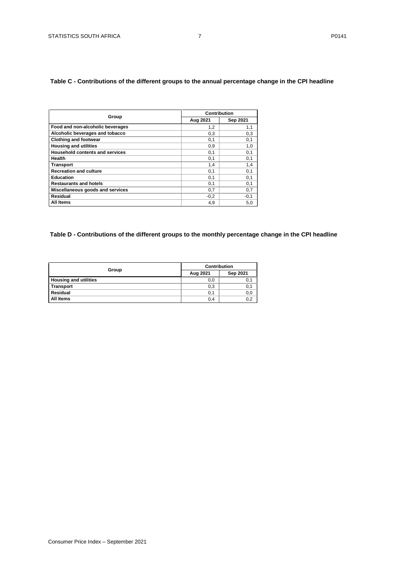## <span id="page-6-0"></span>**Table C - Contributions of the different groups to the annual percentage change in the CPI headline**

|                                        | Contribution |          |  |  |  |
|----------------------------------------|--------------|----------|--|--|--|
| Group                                  |              |          |  |  |  |
|                                        | Aug 2021     | Sep 2021 |  |  |  |
| Food and non-alcoholic beverages       | 1,2          | 1,1      |  |  |  |
| Alcoholic beverages and tobacco        | 0.3          | 0,3      |  |  |  |
| <b>Clothing and footwear</b>           | 0,1          | 0,1      |  |  |  |
| <b>Housing and utilities</b>           | 0,9          | 1,0      |  |  |  |
| <b>Household contents and services</b> | 0,1          | 0,1      |  |  |  |
| Health                                 | 0,1          | 0,1      |  |  |  |
| <b>Transport</b>                       | 1,4          | 1,4      |  |  |  |
| <b>Recreation and culture</b>          | 0,1          | 0,1      |  |  |  |
| <b>Education</b>                       | 0,1          | 0,1      |  |  |  |
| <b>Restaurants and hotels</b>          | 0,1          | 0,1      |  |  |  |
| Miscellaneous goods and services       | 0,7          | 0,7      |  |  |  |
| <b>Residual</b>                        | $-0,2$       | $-0,1$   |  |  |  |
| All Items                              | 4,9          | 5,0      |  |  |  |

## <span id="page-6-1"></span>**Table D - Contributions of the different groups to the monthly percentage change in the CPI headline**

|                              | <b>Contribution</b> |          |  |  |  |
|------------------------------|---------------------|----------|--|--|--|
| Group                        | Aug 2021            | Sep 2021 |  |  |  |
| <b>Housing and utilities</b> | 0,0                 | υ.       |  |  |  |
| <b>Transport</b>             | 0,3                 | 0,1      |  |  |  |
| Residual                     | 0,1                 | 0,0      |  |  |  |
| All Items                    | 0,4                 | 0,2      |  |  |  |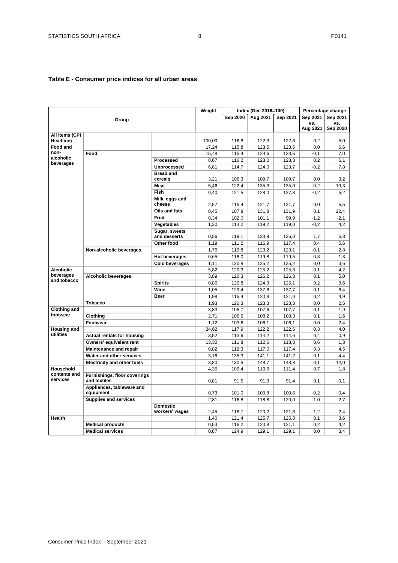## <span id="page-7-0"></span>**Table E - Consumer price indices for all urban areas**

|                             |                                                     |                               | Weight |          | Index (Dec 2016=100) |          |          | Percentage change |
|-----------------------------|-----------------------------------------------------|-------------------------------|--------|----------|----------------------|----------|----------|-------------------|
|                             | Group                                               |                               |        | Sep 2020 | Aug 2021             | Sep 2021 | Sep 2021 | Sep 2021          |
|                             |                                                     |                               |        |          |                      |          | vs.      | VS.               |
|                             |                                                     |                               |        |          |                      |          | Aug 2021 | Sep 2020          |
| All items (CPI<br>Headline) |                                                     |                               | 100,00 | 116.8    | 122,3                | 122,6    | 0.2      | 5,0               |
| <b>Food and</b>             |                                                     |                               | 17,24  | 115,8    | 123,5                | 123,5    | 0,0      | 6,6               |
| non-                        | Food                                                |                               | 15,48  | 115,4    | 123,6                | 123,5    | -0,1     | 7,0               |
| alcoholic                   |                                                     | Processed                     | 8,67   | 116,2    | 123,0                | 123,3    | 0,2      | 6,1               |
| beverages                   |                                                     | <b>Unprocessed</b>            | 6,81   | 114,7    | 124,0                | 123,7    | $-0,2$   | 7,8               |
|                             |                                                     | <b>Bread and</b>              |        |          |                      |          |          |                   |
|                             |                                                     | cereals                       | 3,21   | 106,3    | 109,7                | 109,7    | 0,0      | 3,2               |
|                             |                                                     | Meat                          | 5,46   | 122,4    | 135,3                | 135,0    | $-0,2$   | 10,3              |
|                             |                                                     | Fish                          | 0,40   | 121,5    | 128,0                | 127,8    | $-0.2$   | 5.2               |
|                             |                                                     | Milk, eggs and                |        |          |                      |          |          |                   |
|                             |                                                     | cheese                        | 2,57   | 115,4    | 121,7                | 121,7    | 0,0      | 5,5               |
|                             |                                                     | Oils and fats                 | 0,45   | 107,8    | 131,8                | 131,9    | 0,1      | 22,4              |
|                             |                                                     | Fruit                         | 0,34   | 102,0    | 101,1                | 99.9     | $-1,2$   | $-2,1$            |
|                             |                                                     | Vegetables                    | 1,30   | 114,2    | 119,2                | 119,0    | $-0,2$   | 4,2               |
|                             |                                                     | Sugar, sweets<br>and desserts | 0,56   | 119,1    | 123,9                | 126,0    | 1,7      | 5,8               |
|                             |                                                     | Other food                    | 1,19   | 111,2    | 116,9                | 117,4    | 0,4      | 5,6               |
|                             | Non-alcoholic beverages                             |                               | 1,76   | 119,8    | 123,2                | 123,1    | $-0,1$   | 2,8               |
|                             |                                                     | <b>Hot beverages</b>          | 0,65   | 118,0    | 119,8                | 119,5    | $-0.3$   | 1,3               |
|                             |                                                     | <b>Cold beverages</b>         | 1,11   | 120,8    | 125,2                | 125,2    | 0,0      | 3,6               |
| <b>Alcoholic</b>            |                                                     |                               | 5,82   | 120,3    | 125,2                | 125,3    | 0,1      | 4,2               |
| beverages                   | <b>Alcoholic beverages</b>                          |                               | 3,89   | 120,3    | 126,2                | 126,3    | 0,1      | 5,0               |
| and tobacco                 |                                                     | <b>Spirits</b>                | 0,86   | 120,8    | 124,9                | 125,1    | 0,2      | 3,6               |
|                             |                                                     | Wine                          | 1,05   | 129,4    | 137,6                | 137,7    | 0,1      | 6,4               |
|                             |                                                     | Beer                          | 1,98   | 115,4    | 120,8                | 121,0    | 0,2      | 4,9               |
|                             | <b>Tobacco</b>                                      |                               | 1,93   | 120,3    | 123,3                | 123,3    | 0,0      | 2,5               |
| <b>Clothing and</b>         |                                                     |                               | 3,83   | 105,7    | 107,6                | 107,7    | 0,1      | 1,9               |
| footwear                    | Clothing                                            |                               | 2,71   | 106,6    | 108,2                | 108,3    | 0,1      | 1,6               |
|                             | Footwear                                            |                               | 1,12   | 103,6    | 106,1                | 106,1    | 0,0      | 2,4               |
| <b>Housing and</b>          |                                                     |                               | 24,62  | 117,9    | 122,2                | 122,6    | 0,3      | 4,0               |
| utilities                   | <b>Actual rentals for housing</b>                   |                               | 3,52   | 113,6    | 114,2                | 114,6    | 0,4      | 0,9               |
|                             | Owners' equivalent rent                             |                               | 13,32  | 111,8    | 112,6                | 113,3    | 0,6      | 1,3               |
|                             | Maintenance and repair                              |                               | 0,82   | 112,3    | 117,0                | 117,4    | 0,3      | 4,5               |
|                             | Water and other services                            |                               | 3,16   | 135,3    | 141,1                | 141,2    | 0,1      | 4,4               |
|                             | <b>Electricity and other fuels</b>                  |                               | 3,80   | 130,5    | 148,7                | 148,8    | 0,1      | 14,0              |
| Household                   |                                                     |                               | 4,35   | 109,4    | 110,6                | 111,4    | 0,7      | 1,8               |
| contents and<br>services    | <b>Furnishings, floor coverings</b><br>and textiles |                               | 0.81   | 91,5     | 91,3                 | 91,4     | 0,1      | $-0.1$            |
|                             | Appliances, tableware and<br>equipment              |                               | 0,73   | 101,0    | 100,8                | 100,6    | $-0,2$   | $-0,4$            |
|                             | <b>Supplies and services</b>                        |                               | 2,81   | 116,8    | 118,8                | 120,0    | 1,0      | 2,7               |
|                             |                                                     | <b>Domestic</b>               |        |          |                      |          |          |                   |
|                             |                                                     | workers' wages                | 2,45   | 118,7    | 120,2                | 121,6    | 1,2      | 2,4               |
| <b>Health</b>               |                                                     |                               | 1,40   | 121,4    | 125,7                | 125,8    | 0,1      | 3,6               |
|                             | <b>Medical products</b>                             |                               | 0,53   | 116,2    | 120,8                | 121,1    | 0,2      | 4,2               |
|                             | <b>Medical services</b>                             |                               | 0,87   | 124,9    | 129,1                | 129.1    | 0,0      | 3,4               |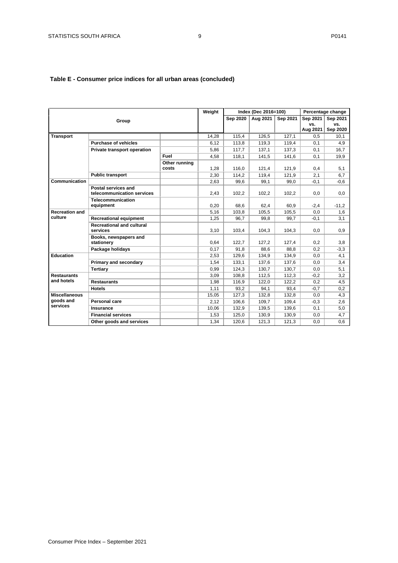## **Table E - Consumer price indices for all urban areas (concluded)**

|                                               |                                                   |               | Weight |                 | Index (Dec 2016=100) |          |          | Percentage change |
|-----------------------------------------------|---------------------------------------------------|---------------|--------|-----------------|----------------------|----------|----------|-------------------|
|                                               | Group                                             |               |        | <b>Sep 2020</b> | Aug 2021             | Sep 2021 | Sep 2021 | Sep 2021          |
|                                               |                                                   |               |        |                 |                      |          | VS.      | VS.               |
|                                               |                                                   |               |        |                 |                      |          | Aug 2021 | Sep 2020          |
| <b>Transport</b>                              |                                                   |               | 14,28  | 115,4           | 126,5                | 127,1    | 0.5      | 10,1              |
|                                               | <b>Purchase of vehicles</b>                       |               | 6,12   | 113,8           | 119,3                | 119,4    | 0,1      | 4,9               |
|                                               | Private transport operation                       |               | 5,86   | 117,7           | 137,1                | 137,3    | 0,1      | 16,7              |
|                                               |                                                   | Fuel          | 4,58   | 118,1           | 141,5                | 141,6    | 0,1      | 19,9              |
|                                               |                                                   | Other running |        |                 |                      |          |          |                   |
|                                               |                                                   | costs         | 1,28   | 116,0           | 121,4                | 121,9    | 0,4      | 5,1               |
|                                               | <b>Public transport</b>                           |               | 2,30   | 114,2           | 119,4                | 121,9    | 2,1      | 6,7               |
| Communication                                 |                                                   |               | 2,63   | 99,6            | 99,1                 | 99,0     | $-0,1$   | $-0,6$            |
|                                               | Postal services and<br>telecommunication services |               | 2,43   | 102,2           | 102,2                | 102,2    | 0,0      | 0,0               |
|                                               | Telecommunication<br>equipment                    |               | 0.20   | 68.6            | 62,4                 | 60.9     | $-2,4$   | $-11,2$           |
| <b>Recreation and</b>                         |                                                   |               | 5,16   | 103,8           | 105,5                | 105,5    | 0,0      | 1,6               |
| culture                                       | <b>Recreational equipment</b>                     |               | 1,25   | 96,7            | 99,8                 | 99,7     | $-0,1$   | 3,1               |
|                                               | <b>Recreational and cultural</b>                  |               |        |                 |                      |          |          |                   |
|                                               | services                                          |               | 3,10   | 103,4           | 104,3                | 104,3    | 0,0      | 0,9               |
|                                               | Books, newspapers and<br>stationery               |               | 0,64   | 122,7           | 127,2                | 127,4    | 0,2      | 3,8               |
|                                               | Package holidays                                  |               | 0,17   | 91.8            | 88.6                 | 88.8     | 0,2      | $-3,3$            |
| <b>Education</b>                              |                                                   |               | 2,53   | 129,6           | 134,9                | 134,9    | 0,0      | 4,1               |
|                                               | Primary and secondary                             |               | 1,54   | 133,1           | 137,6                | 137,6    | 0,0      | 3,4               |
|                                               | <b>Tertiary</b>                                   |               | 0,99   | 124,3           | 130,7                | 130,7    | 0,0      | 5,1               |
| <b>Restaurants</b>                            |                                                   |               | 3,09   | 108,8           | 112,5                | 112,3    | $-0,2$   | 3,2               |
| and hotels                                    | <b>Restaurants</b>                                |               | 1,98   | 116,9           | 122,0                | 122,2    | 0,2      | 4,5               |
|                                               | <b>Hotels</b>                                     |               | 1,11   | 93,2            | 94,1                 | 93,4     | $-0,7$   | 0,2               |
| <b>Miscellaneous</b><br>goods and<br>services |                                                   |               | 15,05  | 127,3           | 132,8                | 132,8    | 0,0      | 4,3               |
|                                               | <b>Personal care</b>                              |               | 2,12   | 106,6           | 109,7                | 109,4    | $-0,3$   | 2,6               |
|                                               | <b>Insurance</b>                                  |               | 10,06  | 132,9           | 139,5                | 139,6    | 0,1      | 5,0               |
|                                               | <b>Financial services</b>                         |               | 1,53   | 125,0           | 130,9                | 130,9    | 0,0      | 4,7               |
|                                               | Other goods and services                          |               | 1,34   | 120.6           | 121,3                | 121,3    | 0.0      | 0.6               |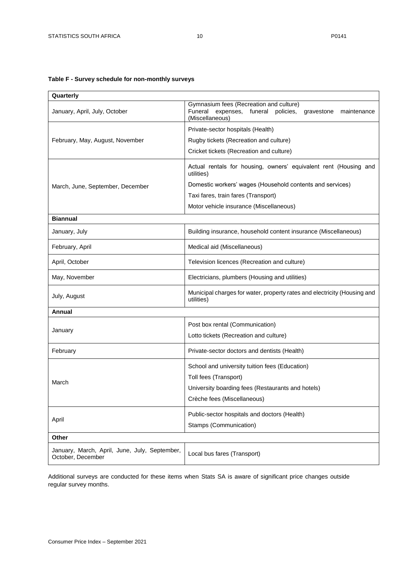## <span id="page-9-0"></span>**Table F - Survey schedule for non-monthly surveys**

| Quarterly                                                          |                                                                                                                                      |  |  |  |  |  |
|--------------------------------------------------------------------|--------------------------------------------------------------------------------------------------------------------------------------|--|--|--|--|--|
| January, April, July, October                                      | Gymnasium fees (Recreation and culture)<br>Funeral<br>expenses, funeral<br>policies,<br>gravestone<br>maintenance<br>(Miscellaneous) |  |  |  |  |  |
|                                                                    | Private-sector hospitals (Health)                                                                                                    |  |  |  |  |  |
| February, May, August, November                                    | Rugby tickets (Recreation and culture)                                                                                               |  |  |  |  |  |
|                                                                    | Cricket tickets (Recreation and culture)                                                                                             |  |  |  |  |  |
|                                                                    | Actual rentals for housing, owners' equivalent rent (Housing and<br>utilities)                                                       |  |  |  |  |  |
| March, June, September, December                                   | Domestic workers' wages (Household contents and services)                                                                            |  |  |  |  |  |
|                                                                    | Taxi fares, train fares (Transport)                                                                                                  |  |  |  |  |  |
|                                                                    | Motor vehicle insurance (Miscellaneous)                                                                                              |  |  |  |  |  |
| <b>Biannual</b>                                                    |                                                                                                                                      |  |  |  |  |  |
| January, July                                                      | Building insurance, household content insurance (Miscellaneous)                                                                      |  |  |  |  |  |
| February, April                                                    | Medical aid (Miscellaneous)                                                                                                          |  |  |  |  |  |
| April, October                                                     | Television licences (Recreation and culture)                                                                                         |  |  |  |  |  |
| May, November                                                      | Electricians, plumbers (Housing and utilities)                                                                                       |  |  |  |  |  |
| July, August                                                       | Municipal charges for water, property rates and electricity (Housing and<br>utilities)                                               |  |  |  |  |  |
| Annual                                                             |                                                                                                                                      |  |  |  |  |  |
|                                                                    | Post box rental (Communication)                                                                                                      |  |  |  |  |  |
| January                                                            | Lotto tickets (Recreation and culture)                                                                                               |  |  |  |  |  |
| February                                                           | Private-sector doctors and dentists (Health)                                                                                         |  |  |  |  |  |
|                                                                    | School and university tuition fees (Education)                                                                                       |  |  |  |  |  |
| March                                                              | Toll fees (Transport)                                                                                                                |  |  |  |  |  |
|                                                                    | University boarding fees (Restaurants and hotels)                                                                                    |  |  |  |  |  |
|                                                                    | Crèche fees (Miscellaneous)                                                                                                          |  |  |  |  |  |
|                                                                    | Public-sector hospitals and doctors (Health)                                                                                         |  |  |  |  |  |
| April                                                              | Stamps (Communication)                                                                                                               |  |  |  |  |  |
| Other                                                              |                                                                                                                                      |  |  |  |  |  |
| January, March, April, June, July, September,<br>October, December | Local bus fares (Transport)                                                                                                          |  |  |  |  |  |

Additional surveys are conducted for these items when Stats SA is aware of significant price changes outside regular survey months.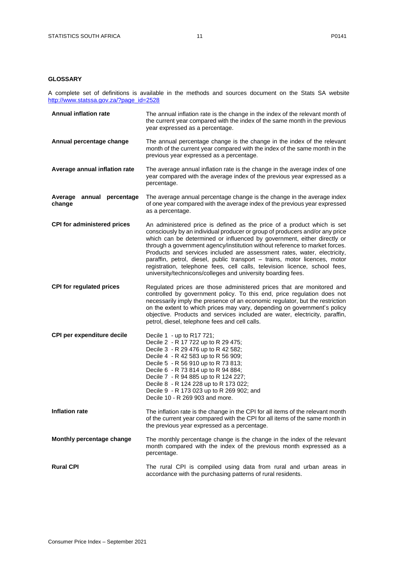## <span id="page-10-0"></span>**GLOSSARY**

A complete set of definitions is available in the methods and sources document on the Stats SA website [http://www.statssa.gov.za/?page\\_id=2528](http://www.statssa.gov.za/?page_id=2528)

| <b>Annual inflation rate</b>        | The annual inflation rate is the change in the index of the relevant month of<br>the current year compared with the index of the same month in the previous<br>year expressed as a percentage.                                                                                                                                                                                                                                                                                                                                                                                                                            |
|-------------------------------------|---------------------------------------------------------------------------------------------------------------------------------------------------------------------------------------------------------------------------------------------------------------------------------------------------------------------------------------------------------------------------------------------------------------------------------------------------------------------------------------------------------------------------------------------------------------------------------------------------------------------------|
| Annual percentage change            | The annual percentage change is the change in the index of the relevant<br>month of the current year compared with the index of the same month in the<br>previous year expressed as a percentage.                                                                                                                                                                                                                                                                                                                                                                                                                         |
| Average annual inflation rate       | The average annual inflation rate is the change in the average index of one<br>year compared with the average index of the previous year expressed as a<br>percentage.                                                                                                                                                                                                                                                                                                                                                                                                                                                    |
| Average annual percentage<br>change | The average annual percentage change is the change in the average index<br>of one year compared with the average index of the previous year expressed<br>as a percentage.                                                                                                                                                                                                                                                                                                                                                                                                                                                 |
| <b>CPI for administered prices</b>  | An administered price is defined as the price of a product which is set<br>consciously by an individual producer or group of producers and/or any price<br>which can be determined or influenced by government, either directly or<br>through a government agency/institution without reference to market forces.<br>Products and services included are assessment rates, water, electricity,<br>paraffin, petrol, diesel, public transport - trains, motor licences, motor<br>registration, telephone fees, cell calls, television licence, school fees,<br>university/technicons/colleges and university boarding fees. |
| <b>CPI for regulated prices</b>     | Regulated prices are those administered prices that are monitored and<br>controlled by government policy. To this end, price regulation does not<br>necessarily imply the presence of an economic regulator, but the restriction<br>on the extent to which prices may vary, depending on government's policy<br>objective. Products and services included are water, electricity, paraffin,<br>petrol, diesel, telephone fees and cell calls.                                                                                                                                                                             |
| CPI per expenditure decile          | Decile 1 - up to R17 721;<br>Decile 2 - R 17 722 up to R 29 475;<br>Decile 3 - R 29 476 up to R 42 582;<br>Decile 4 - R 42 583 up to R 56 909;<br>Decile 5 - R 56 910 up to R 73 813;<br>Decile 6 - R 73 814 up to R 94 884;<br>Decile 7 - R 94 885 up to R 124 227;<br>Decile 8 - R 124 228 up to R 173 022;<br>Decile 9 - R 173 023 up to R 269 902; and<br>Decile 10 - R 269 903 and more.                                                                                                                                                                                                                             |
| <b>Inflation rate</b>               | The inflation rate is the change in the CPI for all items of the relevant month<br>of the current year compared with the CPI for all items of the same month in<br>the previous year expressed as a percentage.                                                                                                                                                                                                                                                                                                                                                                                                           |
| Monthly percentage change           | The monthly percentage change is the change in the index of the relevant<br>month compared with the index of the previous month expressed as a<br>percentage.                                                                                                                                                                                                                                                                                                                                                                                                                                                             |
| <b>Rural CPI</b>                    | The rural CPI is compiled using data from rural and urban areas in<br>accordance with the purchasing patterns of rural residents.                                                                                                                                                                                                                                                                                                                                                                                                                                                                                         |